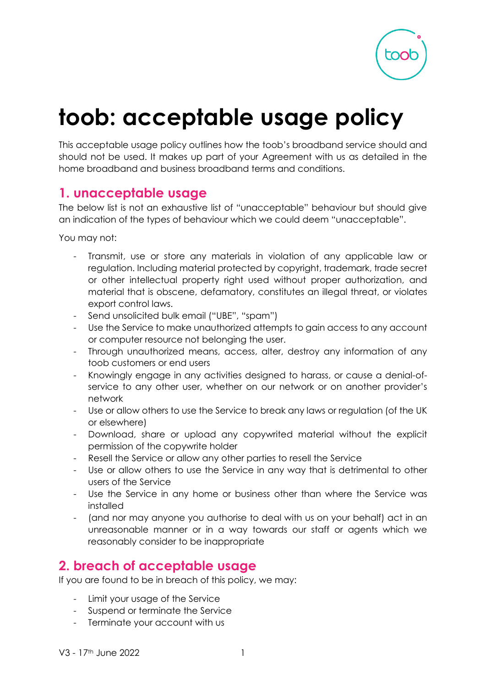

# **toob: acceptable usage policy**

This acceptable usage policy outlines how the toob's broadband service should and should not be used. It makes up part of your Agreement with us as detailed in the home broadband and business broadband terms and conditions.

#### **1. unacceptable usage**

The below list is not an exhaustive list of "unacceptable" behaviour but should give an indication of the types of behaviour which we could deem "unacceptable".

You may not:

- Transmit, use or store any materials in violation of any applicable law or regulation. Including material protected by copyright, trademark, trade secret or other intellectual property right used without proper authorization, and material that is obscene, defamatory, constitutes an illegal threat, or violates export control laws.
- Send unsolicited bulk email ("UBE", "spam")
- Use the Service to make unauthorized attempts to gain access to any account or computer resource not belonging the user.
- Through unauthorized means, access, alter, destroy any information of any toob customers or end users
- Knowingly engage in any activities designed to harass, or cause a denial-ofservice to any other user, whether on our network or on another provider's network
- Use or allow others to use the Service to break any laws or regulation (of the UK or elsewhere)
- Download, share or upload any copywrited material without the explicit permission of the copywrite holder
- Resell the Service or allow any other parties to resell the Service
- Use or allow others to use the Service in any way that is detrimental to other users of the Service
- Use the Service in any home or business other than where the Service was installed
- (and nor may anyone you authorise to deal with us on your behalf) act in an unreasonable manner or in a way towards our staff or agents which we reasonably consider to be inappropriate

## **2. breach of acceptable usage**

If you are found to be in breach of this policy, we may:

- Limit your usage of the Service
- Suspend or terminate the Service
- Terminate your account with us